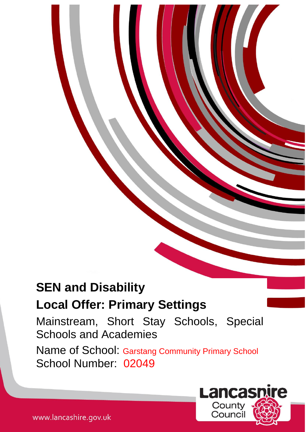# **SEN and Disability**

# **Local Offer: Primary Settings**

Mainstream, Short Stay Schools, Special Schools and Academies

Name of School: Garstang Community Primary School School Number: 02049

1

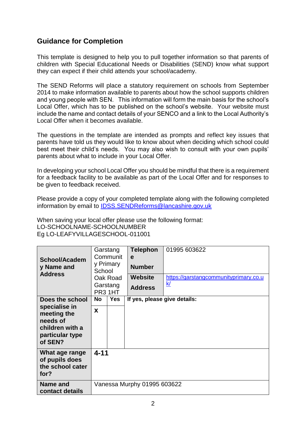# **Guidance for Completion**

This template is designed to help you to pull together information so that parents of children with Special Educational Needs or Disabilities (SEND) know what support they can expect if their child attends your school/academy.

The SEND Reforms will place a statutory requirement on schools from September 2014 to make information available to parents about how the school supports children and young people with SEN. This information will form the main basis for the school's Local Offer, which has to be published on the school's website. Your website must include the name and contact details of your SENCO and a link to the Local Authority's Local Offer when it becomes available.

The questions in the template are intended as prompts and reflect key issues that parents have told us they would like to know about when deciding which school could best meet their child's needs. You may also wish to consult with your own pupils' parents about what to include in your Local Offer.

In developing your school Local Offer you should be mindful that there is a requirement for a feedback facility to be available as part of the Local Offer and for responses to be given to feedback received.

Please provide a copy of your completed template along with the following completed information by email to [IDSS.SENDReforms@lancashire.gov.uk](mailto:IDSS.SENDReforms@lancashire.gov.uk)

When saving your local offer please use the following format: LO-SCHOOLNAME-SCHOOLNUMBER Eg LO-LEAFYVILLAGESCHOOL-011001

| School/Academ<br>y Name and<br><b>Address</b>                                                                | Garstang<br>Communit<br>y Primary<br>School<br>Oak Road<br>Garstang<br>PR3 1HT |            | <b>Telephon</b><br>e<br><b>Number</b><br><b>Website</b><br><b>Address</b> | 01995 603622<br>https://garstangcommunityprimary.co.u<br><u>k/</u> |  |
|--------------------------------------------------------------------------------------------------------------|--------------------------------------------------------------------------------|------------|---------------------------------------------------------------------------|--------------------------------------------------------------------|--|
| Does the school<br>specialise in<br>meeting the<br>needs of<br>children with a<br>particular type<br>of SEN? | No<br>X                                                                        | <b>Yes</b> | If yes, please give details:                                              |                                                                    |  |
| What age range<br>of pupils does<br>the school cater<br>for?                                                 | $4 - 11$                                                                       |            |                                                                           |                                                                    |  |
| Name and<br>contact details                                                                                  | Vanessa Murphy 01995 603622                                                    |            |                                                                           |                                                                    |  |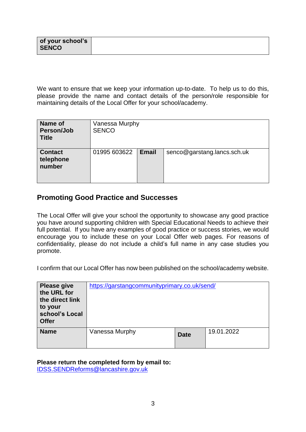| of your school's |  |
|------------------|--|
| <b>SENCO</b>     |  |
|                  |  |

We want to ensure that we keep your information up-to-date. To help us to do this, please provide the name and contact details of the person/role responsible for maintaining details of the Local Offer for your school/academy.

| Name of<br>Person/Job<br><b>Title</b> | Vanessa Murphy<br><b>SENCO</b> |              |                             |
|---------------------------------------|--------------------------------|--------------|-----------------------------|
| <b>Contact</b><br>telephone<br>number | 01995 603622                   | <b>Email</b> | senco@garstang.lancs.sch.uk |

## **Promoting Good Practice and Successes**

The Local Offer will give your school the opportunity to showcase any good practice you have around supporting children with Special Educational Needs to achieve their full potential. If you have any examples of good practice or success stories, we would encourage you to include these on your Local Offer web pages. For reasons of confidentiality, please do not include a child's full name in any case studies you promote.

I confirm that our Local Offer has now been published on the school/academy website.

| <b>Please give</b><br>the URL for<br>the direct link<br>to your<br>school's Local<br><b>Offer</b> | https://garstangcommunityprimary.co.uk/send/ |             |            |
|---------------------------------------------------------------------------------------------------|----------------------------------------------|-------------|------------|
| <b>Name</b>                                                                                       | Vanessa Murphy                               | <b>Date</b> | 19.01.2022 |

#### **Please return the completed form by email to:**

[IDSS.SENDReforms@lancashire.gov.uk](mailto:IDSS.SENDReforms@lancashire.gov.uk)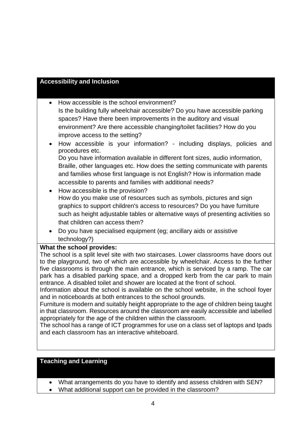#### **Accessibility and Inclusion**

• How accessible is the school environment? Is the building fully wheelchair accessible? Do you have accessible parking spaces? Have there been improvements in the auditory and visual environment? Are there accessible changing/toilet facilities? How do you improve access to the setting?

- How accessible is your information? including displays, policies and procedures etc. Do you have information available in different font sizes, audio information, Braille, other languages etc. How does the setting communicate with parents and families whose first language is not English? How is information made accessible to parents and families with additional needs?
- How accessible is the provision? How do you make use of resources such as symbols, pictures and sign graphics to support children's access to resources? Do you have furniture such as height adjustable tables or alternative ways of presenting activities so that children can access them?
- Do you have specialised equipment (eg; ancillary aids or assistive technology?)

#### **What the school provides:**

The school is a split level site with two staircases. Lower classrooms have doors out to the playground, two of which are accessible by wheelchair. Access to the further five classrooms is through the main entrance, which is serviced by a ramp. The car park has a disabled parking space, and a dropped kerb from the car park to main entrance. A disabled toilet and shower are located at the front of school.

Information about the school is available on the school website, in the school foyer and in noticeboards at both entrances to the school grounds.

Furniture is modern and suitably height appropriate to the age of children being taught in that classroom. Resources around the classroom are easily accessible and labelled appropriately for the age of the children within the classroom.

The school has a range of ICT programmes for use on a class set of laptops and Ipads and each classroom has an interactive whiteboard.

#### **Teaching and Learning**

- What arrangements do you have to identify and assess children with SEN?
- What additional support can be provided in the classroom?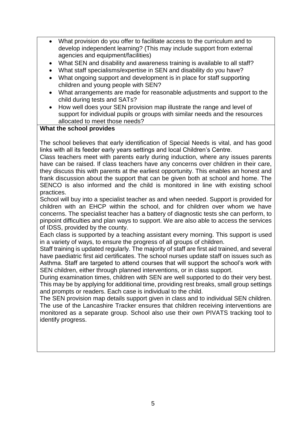- What provision do you offer to facilitate access to the curriculum and to develop independent learning? (This may include support from external agencies and equipment/facilities)
- What SEN and disability and awareness training is available to all staff?
- What staff specialisms/expertise in SEN and disability do you have?
- What ongoing support and development is in place for staff supporting children and young people with SEN?
- What arrangements are made for reasonable adjustments and support to the child during tests and SATs?
- How well does your SEN provision map illustrate the range and level of support for individual pupils or groups with similar needs and the resources allocated to meet those needs?

#### **What the school provides**

The school believes that early identification of Special Needs is vital, and has good links with all its feeder early years settings and local Children's Centre.

Class teachers meet with parents early during induction, where any issues parents have can be raised. If class teachers have any concerns over children in their care, they discuss this with parents at the earliest opportunity. This enables an honest and frank discussion about the support that can be given both at school and home. The SENCO is also informed and the child is monitored in line with existing school practices.

School will buy into a specialist teacher as and when needed. Support is provided for children with an EHCP within the school, and for children over whom we have concerns. The specialist teacher has a battery of diagnostic tests she can perform, to pinpoint difficulties and plan ways to support. We are also able to access the services of IDSS, provided by the county.

Each class is supported by a teaching assistant every morning. This support is used in a variety of ways, to ensure the progress of all groups of children.

Staff training is updated regularly. The majority of staff are first aid trained, and several have paediatric first aid certificates. The school nurses update staff on issues such as Asthma. Staff are targeted to attend courses that will support the school's work with SEN children, either through planned interventions, or in class support.

During examination times, children with SEN are well supported to do their very best. This may be by applying for additional time, providing rest breaks, small group settings and prompts or readers. Each case is individual to the child.

The SEN provision map details support given in class and to individual SEN children. The use of the Lancashire Tracker ensures that children receiving interventions are monitored as a separate group. School also use their own PIVATS tracking tool to identify progress.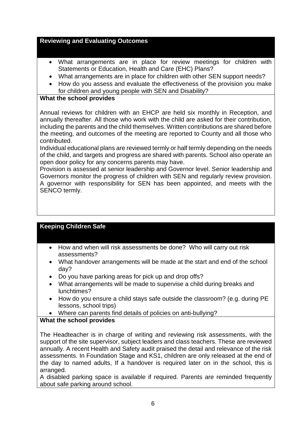#### **Reviewing and Evaluating Outcomes**

- What arrangements are in place for review meetings for children with Statements or Education, Health and Care (EHC) Plans?
- What arrangements are in place for children with other SEN support needs?
- How do you assess and evaluate the effectiveness of the provision you make for children and young people with SEN and Disability?

#### **What the school provides**

Annual reviews for children with an EHCP are held six monthly in Reception, and annually thereafter. All those who work with the child are asked for their contribution, including the parents and the child themselves. Written contributions are shared before the meeting, and outcomes of the meeting are reported to County and all those who contributed.

Individual educational plans are reviewed termly or half termly depending on the needs of the child, and targets and progress are shared with parents. School also operate an open door policy for any concerns parents may have.

Provision is assessed at senior leadership and Governor level. Senior leadership and Governors monitor the progress of children with SEN and regularly review provision. A governor with responsibility for SEN has been appointed, and meets with the SENCO termly.

#### **Keeping Children Safe**

- How and when will risk assessments be done? Who will carry out risk assessments?
- What handover arrangements will be made at the start and end of the school day?
- Do you have parking areas for pick up and drop offs?
- What arrangements will be made to supervise a child during breaks and lunchtimes?
- How do you ensure a child stays safe outside the classroom? (e.g. during PE lessons, school trips)
- Where can parents find details of policies on anti-bullying?

#### **What the school provides**

The Headteacher is in charge of writing and reviewing risk assessments, with the support of the site supervisor, subject leaders and class teachers. These are reviewed annually. A recent Health and Safety audit praised the detail and relevance of the risk assessments. In Foundation Stage and KS1, children are only released at the end of the day to named adults, If a handover is required later on in the school, this is arranged.

A disabled parking space is available if required. Parents are reminded frequently about safe parking around school.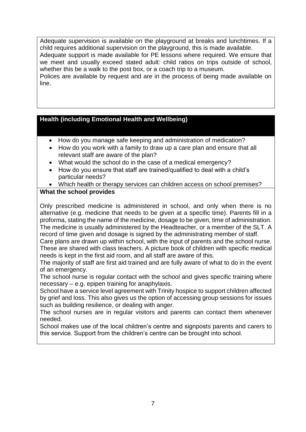Adequate supervision is available on the playground at breaks and lunchtimes. If a child requires additional supervision on the playground, this is made available. Adequate support is made available for PE lessons where required. We ensure that we meet and usually exceed stated adult: child ratios on trips outside of school, whether this be a walk to the post box, or a coach trip to a museum. Polices are available by request and are in the process of being made available on line.

#### **Health (including Emotional Health and Wellbeing)**

- How do you manage safe keeping and administration of medication?
- How do you work with a family to draw up a care plan and ensure that all relevant staff are aware of the plan?
- What would the school do in the case of a medical emergency?
- How do you ensure that staff are trained/qualified to deal with a child's particular needs?
- Which health or therapy services can children access on school premises?

#### **What the school provides**

Only prescribed medicine is administered in school, and only when there is no alternative (e.g. medicine that needs to be given at a specific time). Parents fill in a proforma, stating the name of the medicine, dosage to be given, time of administration. The medicine is usually administered by the Headteacher, or a member of the SLT. A record of time given and dosage is signed by the administrating member of staff.

Care plans are drawn up within school, with the input of parents and the school nurse. These are shared with class teachers. A picture book of children with specific medical needs is kept in the first aid room, and all staff are aware of this.

The majority of staff are first aid trained and are fully aware of what to do in the event of an emergency.

The school nurse is regular contact with the school and gives specific training where necessary – e.g. epipen training for anaphylaxis.

School have a service level agreement with Trinity hospice to support children affected by grief and loss. This also gives us the option of accessing group sessions for issues such as building resilience, or dealing with anger.

The school nurses are in regular visitors and parents can contact them whenever needed.

School makes use of the local children's centre and signposts parents and carers to this service. Support from the children's centre can be brought into school.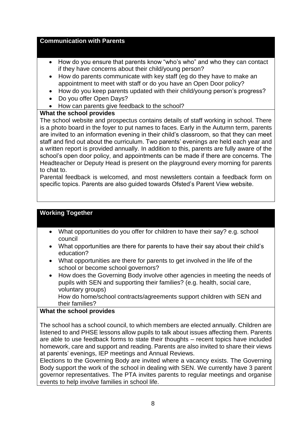#### **Communication with Parents**

- How do you ensure that parents know "who's who" and who they can contact if they have concerns about their child/young person?
- How do parents communicate with key staff (eg do they have to make an appointment to meet with staff or do you have an Open Door policy?
- How do you keep parents updated with their child/young person's progress?
- Do you offer Open Days?
- How can parents give feedback to the school?

#### **What the school provides**

The school website and prospectus contains details of staff working in school. There is a photo board in the foyer to put names to faces. Early in the Autumn term, parents are invited to an information evening in their child's classroom, so that they can meet staff and find out about the curriculum. Two parents' evenings are held each year and a written report is provided annually. In addition to this, parents are fully aware of the school's open door policy, and appointments can be made if there are concerns. The Headteacher or Deputy Head is present on the playground every morning for parents to chat to.

Parental feedback is welcomed, and most newsletters contain a feedback form on specific topics. Parents are also guided towards Ofsted's Parent View website.

## **Working Together**

- What opportunities do you offer for children to have their say? e.g. school council
- What opportunities are there for parents to have their say about their child's education?
- What opportunities are there for parents to get involved in the life of the school or become school governors?
- How does the Governing Body involve other agencies in meeting the needs of pupils with SEN and supporting their families? (e.g. health, social care, voluntary groups)

How do home/school contracts/agreements support children with SEN and their families?

#### **What the school provides**

The school has a school council, to which members are elected annually. Children are listened to and PHSE lessons allow pupils to talk about issues affecting them. Parents are able to use feedback forms to state their thoughts – recent topics have included homework, care and support and reading. Parents are also invited to share their views at parents' evenings, IEP meetings and Annual Reviews.

Elections to the Governing Body are invited where a vacancy exists. The Governing Body support the work of the school in dealing with SEN. We currently have 3 parent governor representatives. The PTA invites parents to regular meetings and organise events to help involve families in school life.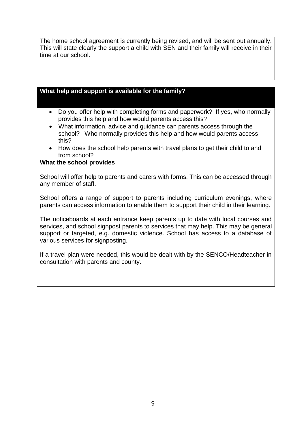The home school agreement is currently being revised, and will be sent out annually. This will state clearly the support a child with SEN and their family will receive in their time at our school.

#### **What help and support is available for the family?**

- Do you offer help with completing forms and paperwork? If yes, who normally provides this help and how would parents access this?
- What information, advice and guidance can parents access through the school? Who normally provides this help and how would parents access this?
- How does the school help parents with travel plans to get their child to and from school?

#### **What the school provides**

School will offer help to parents and carers with forms. This can be accessed through any member of staff.

School offers a range of support to parents including curriculum evenings, where parents can access information to enable them to support their child in their learning.

The noticeboards at each entrance keep parents up to date with local courses and services, and school signpost parents to services that may help. This may be general support or targeted, e.g. domestic violence. School has access to a database of various services for signposting.

If a travel plan were needed, this would be dealt with by the SENCO/Headteacher in consultation with parents and county.